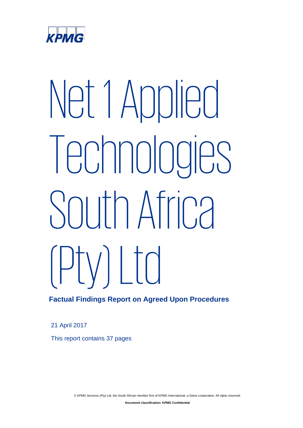

# Net 1 Applied Technologies South Africa  $(\text{Piv})$  | to

# **Factual Findings Report on Agreed Upon Procedures**

21 April 2017

This report contains 37 pages

© KPMG Services (Pty) Ltd, the South African member firm of KPMG International, a Swiss cooperative. All rights reserved.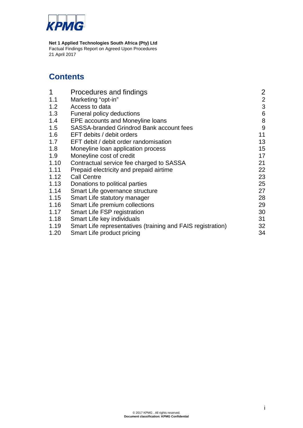

# **Contents**

| 1    | Procedures and findings                                     | $\overline{2}$            |
|------|-------------------------------------------------------------|---------------------------|
| 1.1  | Marketing "opt-in"                                          | $\mathbf{2}$              |
| 1.2  | Access to data                                              | $\ensuremath{\mathsf{3}}$ |
| 1.3  | Funeral policy deductions                                   | 6                         |
| 1.4  | EPE accounts and Moneyline loans                            | $\,8\,$                   |
| 1.5  | <b>SASSA-branded Grindrod Bank account fees</b>             | 9                         |
| 1.6  | EFT debits / debit orders                                   | 11                        |
| 1.7  | EFT debit / debit order randomisation                       | 13                        |
| 1.8  | Moneyline loan application process                          | 15                        |
| 1.9  | Moneyline cost of credit                                    | 17                        |
| 1.10 | Contractual service fee charged to SASSA                    | 21                        |
| 1.11 | Prepaid electricity and prepaid airtime                     | 22                        |
| 1.12 | <b>Call Centre</b>                                          | 23                        |
| 1.13 | Donations to political parties                              | 25                        |
| 1.14 | Smart Life governance structure                             | 27                        |
| 1.15 | Smart Life statutory manager                                | 28                        |
| 1.16 | Smart Life premium collections                              | 29                        |
| 1.17 | Smart Life FSP registration                                 | 30                        |
| 1.18 | Smart Life key individuals                                  | 31                        |
| 1.19 | Smart Life representatives (training and FAIS registration) | 32                        |
| 1.20 | Smart Life product pricing                                  | 34                        |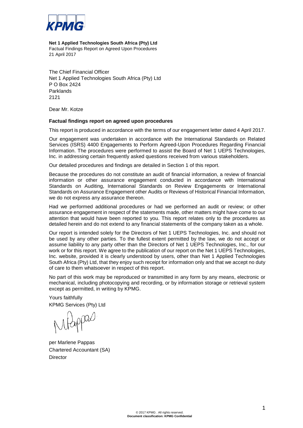

#### **Net 1 Applied Technologies South Africa (Pty) Ltd**

Factual Findings Report on Agreed Upon Procedures 21 April 2017

The Chief Financial Officer Net 1 Applied Technologies South Africa (Pty) Ltd P O Box 2424 Parklands 2121

Dear Mr. Kotze

#### **Factual findings report on agreed upon procedures**

This report is produced in accordance with the terms of our engagement letter dated 4 April 2017.

Our engagement was undertaken in accordance with the International Standards on Related Services (ISRS) 4400 Engagements to Perform Agreed-Upon Procedures Regarding Financial Information. The procedures were performed to assist the Board of Net 1 UEPS Technologies, Inc. in addressing certain frequently asked questions received from various stakeholders.

Our detailed procedures and findings are detailed in Section 1 of this report.

Because the procedures do not constitute an audit of financial information, a review of financial information or other assurance engagement conducted in accordance with International Standards on Auditing, International Standards on Review Engagements or International Standards on Assurance Engagement other Audits or Reviews of Historical Financial Information, we do not express any assurance thereon.

Had we performed additional procedures or had we performed an audit or review; or other assurance engagement in respect of the statements made, other matters might have come to our attention that would have been reported to you. This report relates only to the procedures as detailed herein and do not extend to any financial statements of the company taken as a whole.

Our report is intended solely for the Directors of Net 1 UEPS Technologies, Inc. and should not be used by any other parties. To the fullest extent permitted by the law, we do not accept or assume liability to any party other than the Directors of Net 1 UEPS Technologies, Inc., for our work or for this report. We agree to the publication of our report on the Net 1 UEPS Technologies, Inc. website, provided it is clearly understood by users, other than Net 1 Applied Technologies South Africa (Pty) Ltd, that they enjoy such receipt for information only and that we accept no duty of care to them whatsoever in respect of this report.

No part of this work may be reproduced or transmitted in any form by any means, electronic or mechanical, including photocopying and recording, or by information storage or retrieval system except as permitted, in writing by KPMG.

Yours faithfully KPMG Services (Pty) Ltd

Mappal

per Marlene Pappas Chartered Accountant (SA) **Director**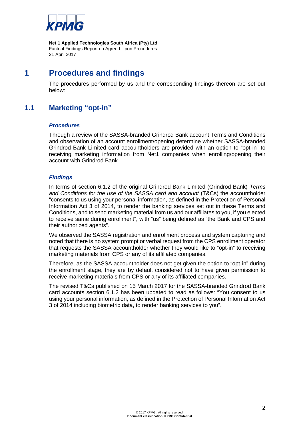

# **1 Procedures and findings**

The procedures performed by us and the corresponding findings thereon are set out below:

# **1.1 Marketing "opt-in"**

#### *Procedures*

Through a review of the SASSA-branded Grindrod Bank account Terms and Conditions and observation of an account enrollment/opening determine whether SASSA-branded Grindrod Bank Limited card accountholders are provided with an option to "opt-in" to receiving marketing information from Net1 companies when enrolling/opening their account with Grindrod Bank.

## *Findings*

In terms of section 6.1.2 of the original Grindrod Bank Limited (Grindrod Bank) *Terms and Conditions for the use of the SASSA card and account* (T&Cs) the accountholder "consents to us using your personal information, as defined in the Protection of Personal Information Act 3 of 2014, to render the banking services set out in these Terms and Conditions, and to send marketing material from us and our affiliates to you, if you elected to receive same during enrollment", with "us" being defined as "the Bank and CPS and their authorized agents".

We observed the SASSA registration and enrollment process and system capturing and noted that there is no system prompt or verbal request from the CPS enrollment operator that requests the SASSA accountholder whether they would like to "opt-in" to receiving marketing materials from CPS or any of its affiliated companies.

Therefore, as the SASSA accountholder does not get given the option to "opt-in" during the enrollment stage, they are by default considered not to have given permission to receive marketing materials from CPS or any of its affiliated companies.

The revised T&Cs published on 15 March 2017 for the SASSA-branded Grindrod Bank card accounts section 6.1.2 has been updated to read as follows: "You consent to us using your personal information, as defined in the Protection of Personal Information Act 3 of 2014 including biometric data, to render banking services to you".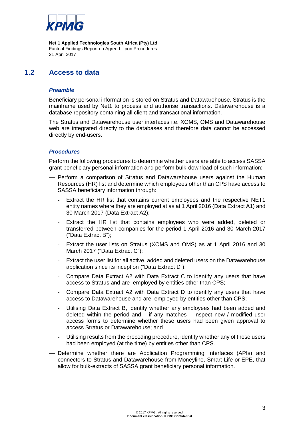

# **1.2 Access to data**

#### *Preamble*

Beneficiary personal information is stored on Stratus and Datawarehouse. Stratus is the mainframe used by Net1 to process and authorise transactions. Datawarehouse is a database repository containing all client and transactional information.

The Stratus and Datawarehouse user interfaces i.e. XOMS, OMS and Datawarehouse web are integrated directly to the databases and therefore data cannot be accessed directly by end-users.

#### *Procedures*

Perform the following procedures to determine whether users are able to access SASSA grant beneficiary personal information and perform bulk-download of such information:

- Perform a comparison of Stratus and Datawarehouse users against the Human Resources (HR) list and determine which employees other than CPS have access to SASSA beneficiary information through:
	- Extract the HR list that contains current employees and the respective NET1 entity names where they are employed at as at 1 April 2016 (Data Extract A1) and 30 March 2017 (Data Extract A2);
	- Extract the HR list that contains employees who were added, deleted or transferred between companies for the period 1 April 2016 and 30 March 2017 ("Data Extract B");
	- Extract the user lists on Stratus (XOMS and OMS) as at 1 April 2016 and 30 March 2017 ("Data Extract C");
	- Extract the user list for all active, added and deleted users on the Datawarehouse application since its inception ("Data Extract D");
	- Compare Data Extract A2 with Data Extract C to identify any users that have access to Stratus and are employed by entities other than CPS;
	- Compare Data Extract A2 with Data Extract D to identify any users that have access to Datawarehouse and are employed by entities other than CPS;
	- Utilising Data Extract B, identify whether any employees had been added and deleted within the period and  $-$  if any matches  $-$  inspect new / modified user access forms to determine whether these users had been given approval to access Stratus or Datawarehouse; and
	- Utilising results from the preceding procedure, identify whether any of these users had been employed (at the time) by entities other than CPS.
- Determine whether there are Application Programming Interfaces (APIs) and connectors to Stratus and Datawarehouse from Moneyline, Smart Life or EPE, that allow for bulk-extracts of SASSA grant beneficiary personal information.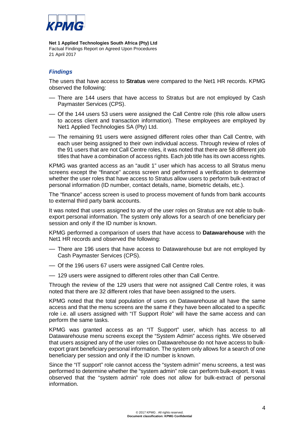

## *Findings*

The users that have access to **Stratus** were compared to the Net1 HR records. KPMG observed the following:

- There are 144 users that have access to Stratus but are not employed by Cash Paymaster Services (CPS).
- Of the 144 users 53 users were assigned the Call Centre role (this role allow users to access client and transaction information). These employees are employed by Net1 Applied Technologies SA (Pty) Ltd.
- The remaining 91 users were assigned different roles other than Call Centre, with each user being assigned to their own individual access. Through review of roles of the 91 users that are not Call Centre roles, it was noted that there are 58 different job titles that have a combination of access rights. Each job title has its own access rights.

KPMG was granted access as an "audit 1" user which has access to all Stratus menu screens except the "finance" access screen and performed a verification to determine whether the user roles that have access to Stratus allow users to perform bulk-extract of personal information (ID number, contact details, name, biometric details, etc.).

The "finance" access screen is used to process movement of funds from bank accounts to external third party bank accounts.

It was noted that users assigned to any of the user roles on Stratus are not able to bulkexport personal information. The system only allows for a search of one beneficiary per session and only if the ID number is known.

KPMG performed a comparison of users that have access to **Datawarehouse** with the Net1 HR records and observed the following:

- There are 196 users that have access to Datawarehouse but are not employed by Cash Paymaster Services (CPS).
- Of the 196 users 67 users were assigned Call Centre roles.
- 129 users were assigned to different roles other than Call Centre.

Through the review of the 129 users that were not assigned Call Centre roles, it was noted that there are 32 different roles that have been assigned to the users.

KPMG noted that the total population of users on Datawarehouse all have the same access and that the menu screens are the same if they have been allocated to a specific role i.e. all users assigned with "IT Support Role" will have the same access and can perform the same tasks.

KPMG was granted access as an "IT Support" user, which has access to all Datawarehouse menu screens except the "System Admin" access rights. We observed that users assigned any of the user roles on Datawarehouse do not have access to bulkexport grant beneficiary personal information. The system only allows for a search of one beneficiary per session and only if the ID number is known.

Since the "IT support" role cannot access the "system admin" menu screens, a test was performed to determine whether the "system admin" role can perform bulk-export. It was observed that the "system admin" role does not allow for bulk-extract of personal information.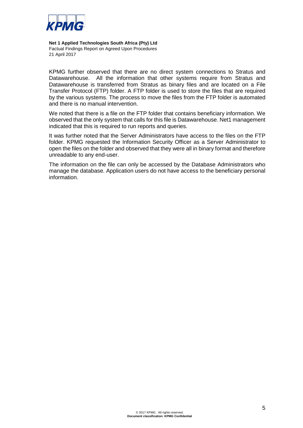

KPMG further observed that there are no direct system connections to Stratus and Datawarehouse. All the information that other systems require from Stratus and Datawarehouse is transferred from Stratus as binary files and are located on a File Transfer Protocol (FTP) folder. A FTP folder is used to store the files that are required by the various systems. The process to move the files from the FTP folder is automated and there is no manual intervention.

We noted that there is a file on the FTP folder that contains beneficiary information. We observed that the only system that calls for this file is Datawarehouse. Net1 management indicated that this is required to run reports and queries.

It was further noted that the Server Administrators have access to the files on the FTP folder. KPMG requested the Information Security Officer as a Server Administrator to open the files on the folder and observed that they were all in binary format and therefore unreadable to any end-user.

The information on the file can only be accessed by the Database Administrators who manage the database. Application users do not have access to the beneficiary personal information.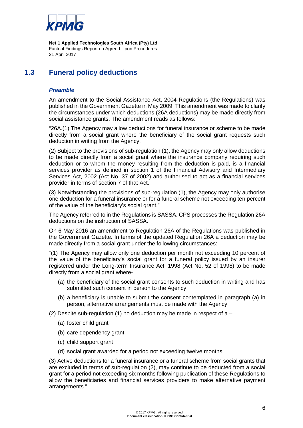

# **1.3 Funeral policy deductions**

## *Preamble*

An amendment to the Social Assistance Act, 2004 Regulations (the Regulations) was published in the Government Gazette in May 2009. This amendment was made to clarify the circumstances under which deductions (26A deductions) may be made directly from social assistance grants. The amendment reads as follows:

"26A.(1) The Agency may allow deductions for funeral insurance or scheme to be made directly from a social grant where the beneficiary of the social grant requests such deduction in writing from the Agency.

(2) Subject to the provisions of sub-regulation (1), the Agency may only allow deductions to be made directly from a social grant where the insurance company requiring such deduction or to whom the money resulting from the deduction is paid, is a financial services provider as defined in section 1 of the Financial Advisory and Intermediary Services Act, 2002 (Act No. 37 of 2002) and authorised to act as a financial services provider in terms of section 7 of that Act.

(3) Notwithstanding the provisions of sub-regulation (1), the Agency may only authorise one deduction for a funeral insurance or for a funeral scheme not exceeding ten percent of the value of the beneficiary's social grant."

The Agency referred to in the Regulations is SASSA. CPS processes the Regulation 26A deductions on the instruction of SASSA.

On 6 May 2016 an amendment to Regulation 26A of the Regulations was published in the Government Gazette. In terms of the updated Regulation 26A a deduction may be made directly from a social grant under the following circumstances:

"(1) The Agency may allow only one deduction per month not exceeding 10 percent of the value of the beneficiary's social grant for a funeral policy issued by an insurer registered under the Long-term Insurance Act, 1998 (Act No. 52 of 1998) to be made directly from a social grant where-

- (a) the beneficiary of the social grant consents to such deduction in writing and has submitted such consent in person to the Agency
- (b) a beneficiary is unable to submit the consent contemplated in paragraph (a) in person, alternative arrangements must be made with the Agency
- (2) Despite sub-regulation (1) no deduction may be made in respect of a  $-$ 
	- (a) foster child grant
	- (b) care dependency grant
	- (c) child support grant
	- (d) social grant awarded for a period not exceeding twelve months

(3) Active deductions for a funeral insurance or a funeral scheme from social grants that are excluded in terms of sub-regulation (2), may continue to be deducted from a social grant for a period not exceeding six months following publication of these Regulations to allow the beneficiaries and financial services providers to make alternative payment arrangements."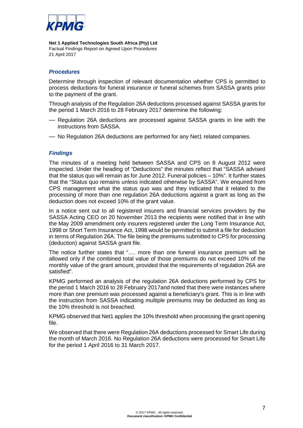

#### *Procedures*

Determine through inspection of relevant documentation whether CPS is permitted to process deductions for funeral insurance or funeral schemes from SASSA grants prior to the payment of the grant.

Through analysis of the Regulation 26A deductions processed against SASSA grants for the period 1 March 2016 to 28 February 2017 determine the following:

- Regulation 26A deductions are processed against SASSA grants in line with the instructions from SASSA.
- No Regulation 26A deductions are performed for any Net1 related companies.

#### *Findings*

The minutes of a meeting held between SASSA and CPS on 8 August 2012 were inspected. Under the heading of "Deductions" the minutes reflect that "SASSA advised that the status quo will remain as for June 2012. Funeral policies – 10%". It further states that the "Status quo remains unless indicated otherwise by SASSA". We enquired from CPS management what the status quo was and they indicated that it related to the processing of more than one regulation 26A deductions against a grant as long as the deduction does not exceed 10% of the grant value.

In a notice sent out to all registered insurers and financial services providers by the SASSA Acting CEO on 20 November 2013 the recipients were notified that in line with the May 2009 amendment only insurers registered under the Long Term Insurance Act, 1998 or Short Term Insurance Act, 1998 would be permitted to submit a file for deduction in terms of Regulation 26A. The file being the premiums submitted to CPS for processing (deduction) against SASSA grant file.

The notice further states that "…. more than one funeral insurance premium will be allowed only if the combined total value of those premiums do not exceed 10% of the monthly value of the grant amount, provided that the requirements of regulation 26A are satisfied".

KPMG performed an analysis of the regulation 26A deductions performed by CPS for the period 1 March 2016 to 28 February 2017and noted that there were instances where more than one premium was processed against a beneficiary's grant. This is in line with the instruction from SASSA indicating multiple premiums may be deducted as long as the 10% threshold is not breached.

KPMG observed that Net1 applies the 10% threshold when processing the grant opening file.

We observed that there were Regulation 26A deductions processed for Smart Life during the month of March 2016. No Regulation 26A deductions were processed for Smart Life for the period 1 April 2016 to 31 March 2017.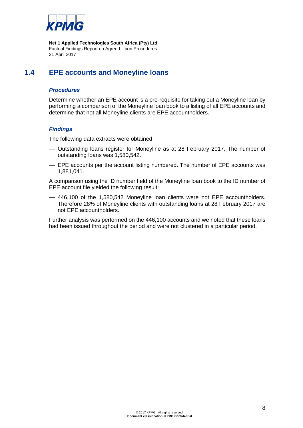

# **1.4 EPE accounts and Moneyline loans**

## *Procedures*

Determine whether an EPE account is a pre-requisite for taking out a Moneyline loan by performing a comparison of the Moneyline loan book to a listing of all EPE accounts and determine that not all Moneyline clients are EPE accountholders.

#### *Findings*

The following data extracts were obtained:

- Outstanding loans register for Moneyline as at 28 February 2017. The number of outstanding loans was 1,580,542.
- EPE accounts per the account listing numbered. The number of EPE accounts was 1,881,041.

A comparison using the ID number field of the Moneyline loan book to the ID number of EPE account file yielded the following result:

— 446,100 of the 1,580,542 Moneyline loan clients were not EPE accountholders. Therefore 28% of Moneyline clients with outstanding loans at 28 February 2017 are not EPE accountholders.

Further analysis was performed on the 446,100 accounts and we noted that these loans had been issued throughout the period and were not clustered in a particular period.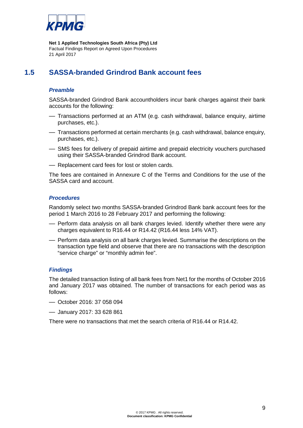

# **1.5 SASSA-branded Grindrod Bank account fees**

## *Preamble*

SASSA-branded Grindrod Bank accountholders incur bank charges against their bank accounts for the following:

- Transactions performed at an ATM (e.g. cash withdrawal, balance enquiry, airtime purchases, etc.).
- Transactions performed at certain merchants (e.g. cash withdrawal, balance enquiry, purchases, etc.).
- SMS fees for delivery of prepaid airtime and prepaid electricity vouchers purchased using their SASSA-branded Grindrod Bank account.
- Replacement card fees for lost or stolen cards.

The fees are contained in Annexure C of the Terms and Conditions for the use of the SASSA card and account.

#### *Procedures*

Randomly select two months SASSA-branded Grindrod Bank bank account fees for the period 1 March 2016 to 28 February 2017 and performing the following:

- Perform data analysis on all bank charges levied. Identify whether there were any charges equivalent to R16.44 or R14.42 (R16.44 less 14% VAT).
- Perform data analysis on all bank charges levied. Summarise the descriptions on the transaction type field and observe that there are no transactions with the description "service charge" or "monthly admin fee".

## *Findings*

The detailed transaction listing of all bank fees from Net1 for the months of October 2016 and January 2017 was obtained. The number of transactions for each period was as follows:

- October 2016: 37 058 094
- January 2017: 33 628 861

There were no transactions that met the search criteria of R16.44 or R14.42.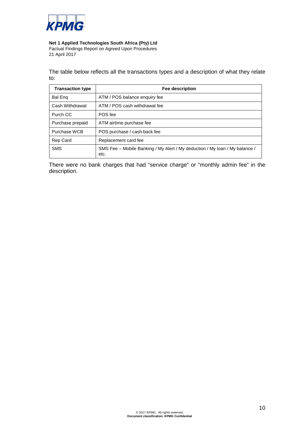

## **Net 1 Applied Technologies South Africa (Pty) Ltd**

Factual Findings Report on Agreed Upon Procedures 21 April 2017

The table below reflects all the transactions types and a description of what they relate to:

| <b>Transaction type</b> | Fee description                                                                     |
|-------------------------|-------------------------------------------------------------------------------------|
| <b>Bal Eng</b>          | ATM / POS balance enquiry fee                                                       |
| Cash Withdrawal         | ATM / POS cash withdrawal fee                                                       |
| Purch CC                | POS fee                                                                             |
| Purchase prepaid        | ATM airtime purchase fee                                                            |
| Purchase WCB            | POS purchase / cash back fee                                                        |
| <b>Rep Card</b>         | Replacement card fee                                                                |
| <b>SMS</b>              | SMS Fee – Mobile Banking / My Alert / My deduction / My Ioan / My balance /<br>etc. |

There were no bank charges that had "service charge" or "monthly admin fee" in the description.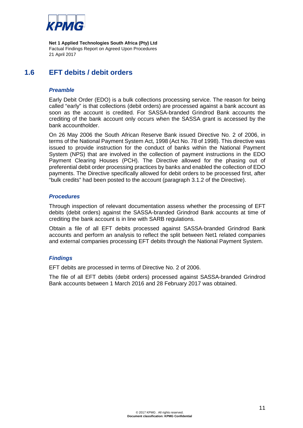

# **1.6 EFT debits / debit orders**

#### *Preamble*

Early Debit Order (EDO) is a bulk collections processing service. The reason for being called "early" is that collections (debit orders) are processed against a bank account as soon as the account is credited. For SASSA-branded Grindrod Bank accounts the crediting of the bank account only occurs when the SASSA grant is accessed by the bank accountholder.

On 26 May 2006 the South African Reserve Bank issued Directive No. 2 of 2006, in terms of the National Payment System Act, 1998 (Act No. 78 of 1998). This directive was issued to provide instruction for the conduct of banks within the National Payment System (NPS) that are involved in the collection of payment instructions in the EDO Payment Clearing Houses (PCH). The Directive allowed for the phasing out of preferential debit order processing practices by banks and enabled the collection of EDO payments. The Directive specifically allowed for debit orders to be processed first, after "bulk credits" had been posted to the account (paragraph 3.1.2 of the Directive).

#### *Procedures*

Through inspection of relevant documentation assess whether the processing of EFT debits (debit orders) against the SASSA-branded Grindrod Bank accounts at time of crediting the bank account is in line with SARB regulations.

Obtain a file of all EFT debits processed against SASSA-branded Grindrod Bank accounts and perform an analysis to reflect the split between Net1 related companies and external companies processing EFT debits through the National Payment System.

## *Findings*

EFT debits are processed in terms of Directive No. 2 of 2006.

The file of all EFT debits (debit orders) processed against SASSA-branded Grindrod Bank accounts between 1 March 2016 and 28 February 2017 was obtained.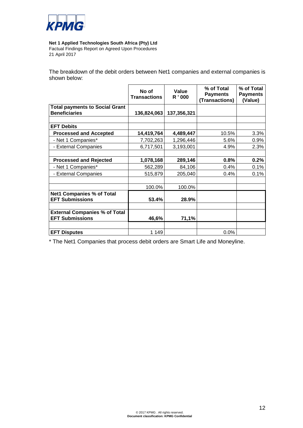

**Net 1 Applied Technologies South Africa (Pty) Ltd**

Factual Findings Report on Agreed Upon Procedures 21 April 2017

The breakdown of the debit orders between Net1 companies and external companies is shown below:

|                                       | No of<br><b>Transactions</b> | Value<br>R '000 | % of Total<br><b>Payments</b><br>(Transactions) | % of Total<br><b>Payments</b><br>(Value) |
|---------------------------------------|------------------------------|-----------------|-------------------------------------------------|------------------------------------------|
| <b>Total payments to Social Grant</b> |                              |                 |                                                 |                                          |
| <b>Beneficiaries</b>                  | 136,824,063                  | 137,356,321     |                                                 |                                          |
|                                       |                              |                 |                                                 |                                          |
| <b>EFT Debits</b>                     |                              |                 |                                                 |                                          |
| <b>Processed and Accepted</b>         | 14,419,764                   | 4,489,447       | 10.5%                                           | 3.3%                                     |
| - Net 1 Companies*                    | 7,702,263                    | 1,296,446       | 5.6%                                            | 0.9%                                     |
| - External Companies                  | 6,717,501                    | 3,193,001       | 4.9%                                            | 2.3%                                     |
|                                       |                              |                 |                                                 |                                          |
| <b>Processed and Rejected</b>         | 1,078,168                    | 289,146         | 0.8%                                            | 0.2%                                     |
| - Net 1 Companies*                    | 562,289                      | 84,106          | 0.4%                                            | 0.1%                                     |
| - External Companies                  | 515,879                      | 205,040         | 0.4%                                            | 0.1%                                     |
|                                       |                              |                 |                                                 |                                          |
|                                       | 100.0%                       | 100.0%          |                                                 |                                          |
| <b>Net1 Companies % of Total</b>      |                              |                 |                                                 |                                          |
| <b>EFT Submissions</b>                | 53.4%                        | 28.9%           |                                                 |                                          |
|                                       |                              |                 |                                                 |                                          |
| <b>External Companies % of Total</b>  |                              |                 |                                                 |                                          |
| <b>EFT Submissions</b>                | 46,6%                        | 71,1%           |                                                 |                                          |
|                                       |                              |                 |                                                 |                                          |
| <b>EFT Disputes</b>                   | 1 1 4 9                      |                 | 0.0%                                            |                                          |

\* The Net1 Companies that process debit orders are Smart Life and Moneyline.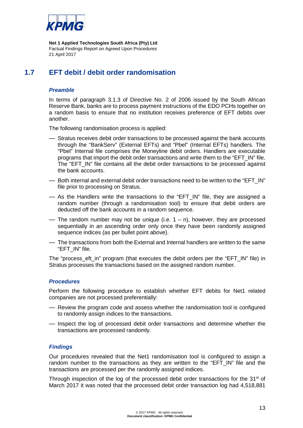

# **1.7 EFT debit / debit order randomisation**

## *Preamble*

In terms of paragraph 3.1.3 of Directive No. 2 of 2006 issued by the South African Reserve Bank, banks are to process payment instructions of the EDO PCHs together on a random basis to ensure that no institution receives preference of EFT debits over another.

The following randomisation process is applied:

- Stratus receives debit order transactions to be processed against the bank accounts through the "BankServ" (External EFTs) and "Pbel" (Internal EFTs) handlers. The "Pbel" Internal file comprises the Moneyline debit orders. Handlers are executable programs that import the debit order transactions and write them to the "EFT\_IN" file. The "EFT\_IN" file contains all the debit order transactions to be processed against the bank accounts.
- Both internal and external debit order transactions need to be written to the "EFT\_IN" file prior to processing on Stratus.
- As the Handlers write the transactions to the "EFT\_IN" file, they are assigned a random number (through a randomisation tool) to ensure that debit orders are deducted off the bank accounts in a random sequence.
- The random number may not be unique (i.e.  $1 n$ ), however, they are processed sequentially in an ascending order only once they have been randomly assigned sequence indices (as per bullet point above).
- The transactions from both the External and Internal handlers are written to the same "EFT\_IN" file.

The "process\_eft\_in" program (that executes the debit orders per the "EFT\_IN" file) in Stratus processes the transactions based on the assigned random number.

#### *Procedures*

Perform the following procedure to establish whether EFT debits for Net1 related companies are not processed preferentially:

- Review the program code and assess whether the randomisation tool is configured to randomly assign indices to the transactions.
- Inspect the log of processed debit order transactions and determine whether the transactions are processed randomly.

#### *Findings*

Our procedures revealed that the Net1 randomisation tool is configured to assign a random number to the transactions as they are written to the "EFT\_IN" file and the transactions are processed per the randomly assigned indices.

Through inspection of the log of the processed debit order transactions for the  $31<sup>st</sup>$  of March 2017 it was noted that the processed debit order transaction log had 4,518,881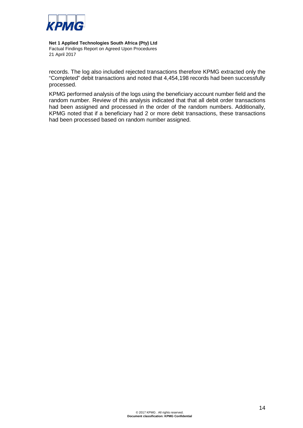

#### **Net 1 Applied Technologies South Africa (Pty) Ltd**

Factual Findings Report on Agreed Upon Procedures 21 April 2017

records. The log also included rejected transactions therefore KPMG extracted only the "Completed" debit transactions and noted that 4,454,198 records had been successfully processed.

KPMG performed analysis of the logs using the beneficiary account number field and the random number. Review of this analysis indicated that that all debit order transactions had been assigned and processed in the order of the random numbers. Additionally, KPMG noted that if a beneficiary had 2 or more debit transactions, these transactions had been processed based on random number assigned.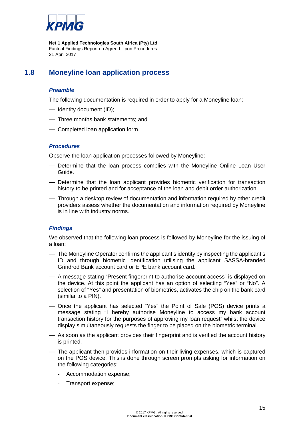

# **1.8 Moneyline loan application process**

# *Preamble*

The following documentation is required in order to apply for a Moneyline loan:

- Identity document (ID);
- Three months bank statements; and
- Completed loan application form.

#### *Procedures*

Observe the loan application processes followed by Moneyline:

- Determine that the loan process complies with the Moneyline Online Loan User Guide.
- Determine that the loan applicant provides biometric verification for transaction history to be printed and for acceptance of the loan and debit order authorization.
- Through a desktop review of documentation and information required by other credit providers assess whether the documentation and information required by Moneyline is in line with industry norms.

## *Findings*

We observed that the following loan process is followed by Moneyline for the issuing of a loan:

- The Moneyline Operator confirms the applicant's identity by inspecting the applicant's ID and through biometric identification utilising the applicant SASSA-branded Grindrod Bank account card or EPE bank account card.
- A message stating "Present fingerprint to authorise account access" is displayed on the device. At this point the applicant has an option of selecting "Yes" or "No". A selection of "Yes" and presentation of biometrics, activates the chip on the bank card (similar to a PIN).
- Once the applicant has selected "Yes" the Point of Sale (POS) device prints a message stating "I hereby authorise Moneyline to access my bank account transaction history for the purposes of approving my loan request" whilst the device display simultaneously requests the finger to be placed on the biometric terminal.
- As soon as the applicant provides their fingerprint and is verified the account history is printed.
- The applicant then provides information on their living expenses, which is captured on the POS device. This is done through screen prompts asking for information on the following categories:
	- Accommodation expense;
	- Transport expense;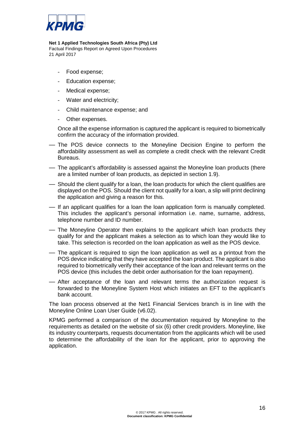

#### **Net 1 Applied Technologies South Africa (Pty) Ltd**

Factual Findings Report on Agreed Upon Procedures 21 April 2017

- Food expense;
- Education expense;
- Medical expense;
- Water and electricity;
- Child maintenance expense; and
- Other expenses.

Once all the expense information is captured the applicant is required to biometrically confirm the accuracy of the information provided.

- The POS device connects to the Moneyline Decision Engine to perform the affordability assessment as well as complete a credit check with the relevant Credit Bureaus.
- The applicant's affordability is assessed against the Moneyline loan products (there are a limited number of loan products, as depicted in section 1.9).
- Should the client qualify for a loan, the loan products for which the client qualifies are displayed on the POS. Should the client not qualify for a loan, a slip will print declining the application and giving a reason for this.
- If an applicant qualifies for a loan the loan application form is manually completed. This includes the applicant's personal information i.e. name, surname, address, telephone number and ID number.
- The Moneyline Operator then explains to the applicant which loan products they qualify for and the applicant makes a selection as to which loan they would like to take. This selection is recorded on the loan application as well as the POS device.
- The applicant is required to sign the loan application as well as a printout from the POS device indicating that they have accepted the loan product. The applicant is also required to biometrically verify their acceptance of the loan and relevant terms on the POS device (this includes the debit order authorisation for the loan repayment).
- After acceptance of the loan and relevant terms the authorization request is forwarded to the Moneyline System Host which initiates an EFT to the applicant's bank account.

The loan process observed at the Net1 Financial Services branch is in line with the Moneyline Online Loan User Guide (v6.02).

KPMG performed a comparison of the documentation required by Moneyline to the requirements as detailed on the website of six (6) other credit providers. Moneyline, like its industry counterparts, requests documentation from the applicants which will be used to determine the affordability of the loan for the applicant, prior to approving the application.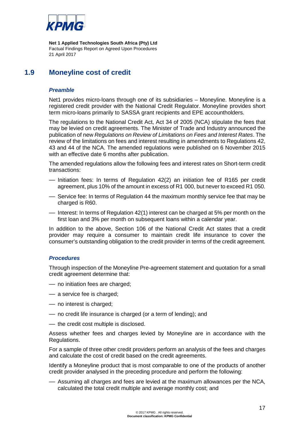

# **1.9 Moneyline cost of credit**

#### *Preamble*

Net1 provides micro-loans through one of its subsidiaries – Moneyline. Moneyline is a registered credit provider with the National Credit Regulator. Moneyline provides short term micro-loans primarily to SASSA grant recipients and EPE accountholders.

The regulations to the National Credit Act, Act 34 of 2005 (NCA) stipulate the fees that may be levied on credit agreements. The Minister of Trade and Industry announced the publication of new *Regulations on Review of Limitations on Fees and Interest Rates*. The review of the limitations on fees and interest resulting in amendments to Regulations 42, 43 and 44 of the NCA. The amended regulations were published on 6 November 2015 with an effective date 6 months after publication.

The amended regulations allow the following fees and interest rates on Short-term credit transactions:

- Initiation fees: In terms of Regulation 42(2) an initiation fee of R165 per credit agreement, plus 10% of the amount in excess of R1 000, but never to exceed R1 050.
- Service fee: In terms of Regulation 44 the maximum monthly service fee that may be charged is R60.
- Interest: In terms of Regulation 42(1) interest can be charged at 5% per month on the first loan and 3% per month on subsequent loans within a calendar year.

In addition to the above, Section 106 of the National Credit Act states that a credit provider may require a consumer to maintain credit life insurance to cover the consumer's outstanding obligation to the credit provider in terms of the credit agreement.

#### *Procedures*

Through inspection of the Moneyline Pre-agreement statement and quotation for a small credit agreement determine that:

- no initiation fees are charged;
- a service fee is charged;
- no interest is charged;
- no credit life insurance is charged (or a term of lending); and
- the credit cost multiple is disclosed.

Assess whether fees and charges levied by Moneyline are in accordance with the Regulations.

For a sample of three other credit providers perform an analysis of the fees and charges and calculate the cost of credit based on the credit agreements.

Identify a Moneyline product that is most comparable to one of the products of another credit provider analysed in the preceding procedure and perform the following:

— Assuming all charges and fees are levied at the maximum allowances per the NCA, calculated the total credit multiple and average monthly cost; and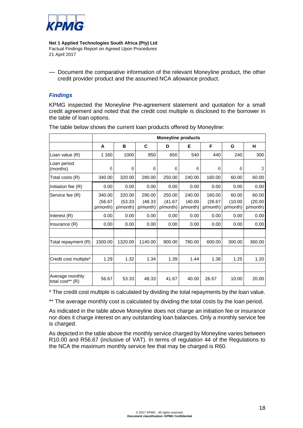

— Document the comparative information of the relevant Moneyline product, the other credit provider product and the assumed NCA allowance product.

## *Findings*

KPMG inspected the Moneyline Pre-agreement statement and quotation for a small credit agreement and noted that the credit cost multiple is disclosed to the borrower in the table of loan options.

|                                     | <b>Moneyline products</b> |                     |                     |                     |                     |                    |                     |                    |
|-------------------------------------|---------------------------|---------------------|---------------------|---------------------|---------------------|--------------------|---------------------|--------------------|
|                                     | A                         | В                   | C                   | D                   | Е                   | F                  | G                   | н                  |
| Loan value (R)                      | 1 1 6 0                   | 1000                | 850                 | 650                 | 540                 | 440                | 240                 | 300                |
| Loan period<br>(months)             | 6                         | 6                   | 6                   | 6                   | 6                   | 6                  | 6                   | 3                  |
| Total costs (R)                     | 340.00                    | 320.00              | 290.00              | 250.00              | 240.00              | 160.00             | 60.00               | 60.00              |
| Initiation fee (R)                  | 0.00                      | 0.00                | 0.00                | 0.00                | 0.00                | 0.00               | 0.00                | 0.00               |
| Service fee (R)                     | 340.00                    | 320.00              | 290.00              | 250.00              | 240.00              | 160.00             | 60.00               | 60.00              |
|                                     | (56.67)<br>p/month)       | (53.33)<br>p/month) | (48.33)<br>p/month) | (41.67)<br>p/month) | (40.00)<br>p/month) | (26.67)<br>p/month | (10.00)<br>p/month) | (20.00)<br>p/month |
| Interest (R)                        | 0.00                      | 0.00                | 0.00                | 0.00                | 0.00                | 0.00               | 0.00                | 0.00               |
| Insurance $(R)$                     | 0.00                      | 0.00                | 0.00                | 0.00                | 0.00                | 0.00               | 0.00                | 0.00               |
|                                     |                           |                     |                     |                     |                     |                    |                     |                    |
| Total repayment (R)                 | 1500.00                   | 1320.00             | 1140.00             | 900.00              | 780.00              | 600.00             | 300.00              | 360.00             |
|                                     |                           |                     |                     |                     |                     |                    |                     |                    |
| Credit cost multiple*               | 1.29                      | 1.32                | 1.34                | 1.39                | 1.44                | 1.36               | 1.25                | 1.20               |
|                                     |                           |                     |                     |                     |                     |                    |                     |                    |
| Average monthly<br>total cost** (R) | 56.67                     | 53.33               | 48.33               | 41.67               | 40.00               | 26.67              | 10.00               | 20.00              |

The table below shows the current loan products offered by Moneyline:

\* The credit cost multiple is calculated by dividing the total repayments by the loan value.

\*\* The average monthly cost is calculated by dividing the total costs by the loan period.

As indicated in the table above Moneyline does not charge an initiation fee or insurance nor does it charge interest on any outstanding loan balances. Only a monthly service fee is charged.

As depicted in the table above the monthly service charged by Moneyline varies between R10.00 and R56.67 (inclusive of VAT). In terms of regulation 44 of the Regulations to the NCA the maximum monthly service fee that may be charged is R60.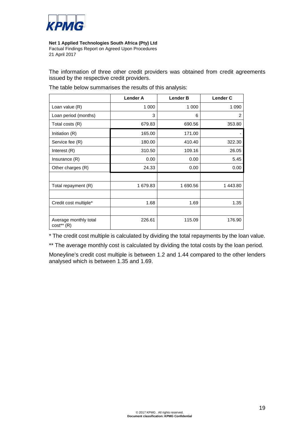

The information of three other credit providers was obtained from credit agreements issued by the respective credit providers.

|                                       | <b>Lender A</b> | <b>Lender B</b> | <b>Lender C</b> |
|---------------------------------------|-----------------|-----------------|-----------------|
| Loan value (R)                        | 1 0 0 0         | 1 0 0 0         | 1 0 9 0         |
| Loan period (months)                  | 3               | 6               | 2               |
| Total costs (R)                       | 679.83          | 690.56          | 353.80          |
| Initiation (R)                        | 165.00          | 171.00          |                 |
| Service fee (R)                       | 180.00          | 410.40          | 322.30          |
| Interest $(R)$                        | 310.50          | 109.16          | 26.05           |
| Insurance $(R)$                       | 0.00            | 0.00            | 5.45            |
| Other charges (R)                     | 24.33           | 0.00            | 0.00            |
|                                       |                 |                 |                 |
| Total repayment (R)                   | 1 679.83        | 1 690.56        | 1443.80         |
|                                       |                 |                 |                 |
| Credit cost multiple*                 | 1.68            | 1.69            | 1.35            |
|                                       |                 |                 |                 |
| Average monthly total<br>$cost**$ (R) | 226.61          | 115.09          | 176.90          |

The table below summarises the results of this analysis:

\* The credit cost multiple is calculated by dividing the total repayments by the loan value.

\*\* The average monthly cost is calculated by dividing the total costs by the loan period.

Moneyline's credit cost multiple is between 1.2 and 1.44 compared to the other lenders analysed which is between 1.35 and 1.69.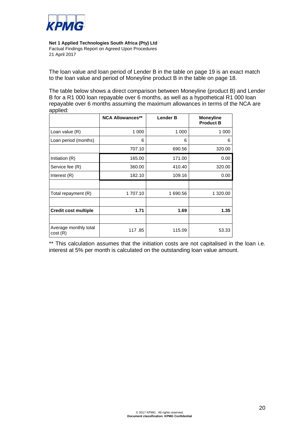

The loan value and loan period of Lender B in the table on page 19 is an exact match to the loan value and period of Moneyline product B in the table on page 18.

The table below shows a direct comparison between Moneyline (product B) and Lender B for a R1 000 loan repayable over 6 months, as well as a hypothetical R1 000 loan repayable over 6 months assuming the maximum allowances in terms of the NCA are applied:

|                                  | <b>NCA Allowances**</b> | <b>Lender B</b> | <b>Moneyline</b><br><b>Product B</b> |
|----------------------------------|-------------------------|-----------------|--------------------------------------|
| Loan value (R)                   | 1 000                   | 1 0 0 0         | 1 000                                |
| Loan period (months)             | 6                       | 6               | 6                                    |
|                                  | 707.10                  | 690.56          | 320.00                               |
| Initiation (R)                   | 165.00                  | 171.00          | 0.00                                 |
| Service fee (R)                  | 360.00                  | 410.40          | 320.00                               |
| Interest (R)                     | 182.10                  | 109.16          | 0.00                                 |
|                                  |                         |                 |                                      |
| Total repayment (R)              | 1 707.10                | 1 690.56        | 1 320.00                             |
|                                  |                         |                 |                                      |
| <b>Credit cost multiple</b>      | 1.71                    | 1.69            | 1.35                                 |
|                                  |                         |                 |                                      |
| Average monthly total<br>cost(R) | 117.85                  | 115.09          | 53.33                                |

\*\* This calculation assumes that the initiation costs are not capitalised in the loan i.e. interest at 5% per month is calculated on the outstanding loan value amount.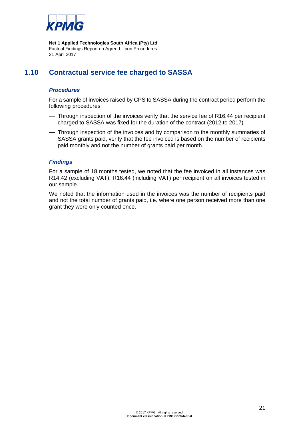

# **1.10 Contractual service fee charged to SASSA**

## *Procedures*

For a sample of invoices raised by CPS to SASSA during the contract period perform the following procedures:

- Through inspection of the invoices verify that the service fee of R16.44 per recipient charged to SASSA was fixed for the duration of the contract (2012 to 2017).
- Through inspection of the invoices and by comparison to the monthly summaries of SASSA grants paid, verify that the fee invoiced is based on the number of recipients paid monthly and not the number of grants paid per month.

#### *Findings*

For a sample of 18 months tested, we noted that the fee invoiced in all instances was R14.42 (excluding VAT), R16.44 (including VAT) per recipient on all invoices tested in our sample.

We noted that the information used in the invoices was the number of recipients paid and not the total number of grants paid, i.e. where one person received more than one grant they were only counted once.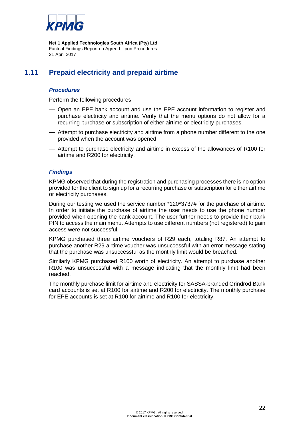

# **1.11 Prepaid electricity and prepaid airtime**

## *Procedures*

Perform the following procedures:

- Open an EPE bank account and use the EPE account information to register and purchase electricity and airtime. Verify that the menu options do not allow for a recurring purchase or subscription of either airtime or electricity purchases.
- Attempt to purchase electricity and airtime from a phone number different to the one provided when the account was opened.
- Attempt to purchase electricity and airtime in excess of the allowances of R100 for airtime and R200 for electricity.

#### *Findings*

KPMG observed that during the registration and purchasing processes there is no option provided for the client to sign up for a recurring purchase or subscription for either airtime or electricity purchases.

During our testing we used the service number \*120\*3737# for the purchase of airtime. In order to initiate the purchase of airtime the user needs to use the phone number provided when opening the bank account. The user further needs to provide their bank PIN to access the main menu. Attempts to use different numbers (not registered) to gain access were not successful.

KPMG purchased three airtime vouchers of R29 each, totaling R87. An attempt to purchase another R29 airtime voucher was unsuccessful with an error message stating that the purchase was unsuccessful as the monthly limit would be breached.

Similarly KPMG purchased R100 worth of electricity. An attempt to purchase another R100 was unsuccessful with a message indicating that the monthly limit had been reached.

The monthly purchase limit for airtime and electricity for SASSA-branded Grindrod Bank card accounts is set at R100 for airtime and R200 for electricity. The monthly purchase for EPE accounts is set at R100 for airtime and R100 for electricity.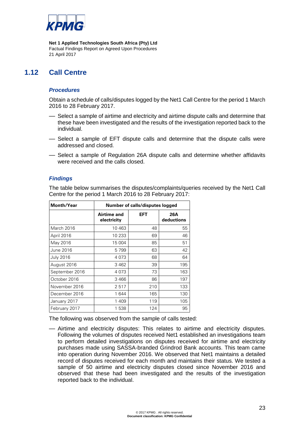

# **1.12 Call Centre**

## *Procedures*

Obtain a schedule of calls/disputes logged by the Net1 Call Centre for the period 1 March 2016 to 28 February 2017.

- Select a sample of airtime and electricity and airtime dispute calls and determine that these have been investigated and the results of the investigation reported back to the individual.
- Select a sample of EFT dispute calls and determine that the dispute calls were addressed and closed.
- Select a sample of Regulation 26A dispute calls and determine whether affidavits were received and the calls closed.

## *Findings*

The table below summarises the disputes/complaints/queries received by the Net1 Call Centre for the period 1 March 2016 to 28 February 2017:

| <b>Month/Year</b> | Number of calls/disputes logged |            |                   |
|-------------------|---------------------------------|------------|-------------------|
|                   | Airtime and<br>electricity      | <b>EFT</b> | 26A<br>deductions |
| March 2016        | 10463                           | 48         | 55                |
| April 2016        | 10 233                          | 69         | 46                |
| May 2016          | 15 004                          | 85         | 51                |
| June 2016         | 5799                            | 63         | 42                |
| <b>July 2016</b>  | 4073                            | 68         | 64                |
| August 2016       | 3462                            | 39         | 195               |
| September 2016    | 4 073                           | 73         | 163               |
| October 2016      | 3466                            | 86         | 197               |
| November 2016     | 2517                            | 210        | 133               |
| December 2016     | 1644                            | 165        | 130               |
| January 2017      | 1409                            | 119        | 105               |
| February 2017     | 1 538                           | 124        | 95                |

The following was observed from the sample of calls tested:

— Airtime and electricity disputes: This relates to airtime and electricity disputes. Following the volumes of disputes received Net1 established an investigations team to perform detailed investigations on disputes received for airtime and electricity purchases made using SASSA-branded Grindrod Bank accounts. This team came into operation during November 2016. We observed that Net1 maintains a detailed record of disputes received for each month and maintains their status. We tested a sample of 50 airtime and electricity disputes closed since November 2016 and observed that these had been investigated and the results of the investigation reported back to the individual.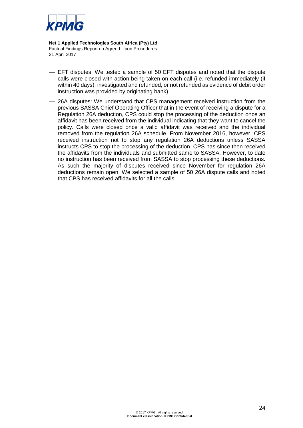

- EFT disputes: We tested a sample of 50 EFT disputes and noted that the dispute calls were closed with action being taken on each call (i.e. refunded immediately (if within 40 days), investigated and refunded, or not refunded as evidence of debit order instruction was provided by originating bank).
- 26A disputes: We understand that CPS management received instruction from the previous SASSA Chief Operating Officer that in the event of receiving a dispute for a Regulation 26A deduction, CPS could stop the processing of the deduction once an affidavit has been received from the individual indicating that they want to cancel the policy. Calls were closed once a valid affidavit was received and the individual removed from the regulation 26A schedule. From November 2016, however, CPS received instruction not to stop any regulation 26A deductions unless SASSA instructs CPS to stop the processing of the deduction. CPS has since then received the affidavits from the individuals and submitted same to SASSA. However, to date no instruction has been received from SASSA to stop processing these deductions. As such the majority of disputes received since November for regulation 26A deductions remain open. We selected a sample of 50 26A dispute calls and noted that CPS has received affidavits for all the calls.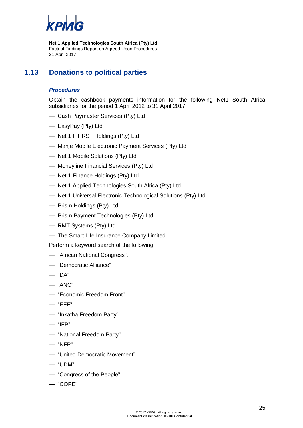

# **1.13 Donations to political parties**

# *Procedures*

Obtain the cashbook payments information for the following Net1 South Africa subsidiaries for the period 1 April 2012 to 31 April 2017:

- Cash Paymaster Services (Pty) Ltd
- EasyPay (Pty) Ltd
- Net 1 FIHRST Holdings (Pty) Ltd
- Manje Mobile Electronic Payment Services (Pty) Ltd
- Net 1 Mobile Solutions (Pty) Ltd
- Moneyline Financial Services (Pty) Ltd
- Net 1 Finance Holdings (Pty) Ltd
- Net 1 Applied Technologies South Africa (Pty) Ltd
- Net 1 Universal Electronic Technological Solutions (Pty) Ltd
- Prism Holdings (Pty) Ltd
- Prism Payment Technologies (Pty) Ltd
- RMT Systems (Pty) Ltd
- The Smart Life Insurance Company Limited

Perform a keyword search of the following:

- "African National Congress",
- "Democratic Alliance"
- "DA"
- "ANC"
- "Economic Freedom Front"
- "EFF"
- "Inkatha Freedom Party"
- $-$  "IFP"
- "National Freedom Party"
- "NFP"
- "United Democratic Movement"
- "UDM"
- "Congress of the People"
- "COPE"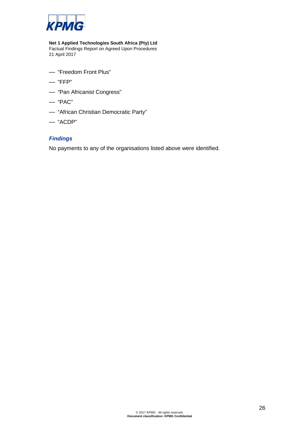

- "Freedom Front Plus"
- "FFP"
- "Pan Africanist Congress"
- "PAC"
- "African Christian Democratic Party"
- "ACDP"

## *Findings*

No payments to any of the organisations listed above were identified.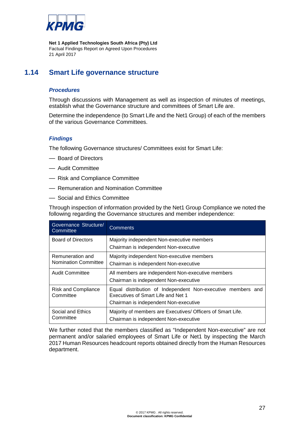

# **1.14 Smart Life governance structure**

## *Procedures*

Through discussions with Management as well as inspection of minutes of meetings, establish what the Governance structure and committees of Smart Life are.

Determine the independence (to Smart Life and the Net1 Group) of each of the members of the various Governance Committees.

#### *Findings*

The following Governance structures/ Committees exist for Smart Life:

- Board of Directors
- Audit Committee
- Risk and Compliance Committee
- Remuneration and Nomination Committee
- Social and Ethics Committee

Through inspection of information provided by the Net1 Group Compliance we noted the following regarding the Governance structures and member independence:

| Governance Structure/<br>Committee              | <b>Comments</b>                                                                                                                            |  |  |
|-------------------------------------------------|--------------------------------------------------------------------------------------------------------------------------------------------|--|--|
| <b>Board of Directors</b>                       | Majority independent Non-executive members                                                                                                 |  |  |
|                                                 | Chairman is independent Non-executive                                                                                                      |  |  |
| Remuneration and<br><b>Nomination Committee</b> | Majority independent Non-executive members<br>Chairman is independent Non-executive                                                        |  |  |
| <b>Audit Committee</b>                          | All members are independent Non-executive members<br>Chairman is independent Non-executive                                                 |  |  |
| <b>Risk and Compliance</b><br>Committee         | Equal distribution of Independent Non-executive members and<br>Executives of Smart Life and Net 1<br>Chairman is independent Non-executive |  |  |
| Social and Ethics<br>Committee                  | Majority of members are Executives/ Officers of Smart Life.<br>Chairman is independent Non-executive                                       |  |  |

We further noted that the members classified as "Independent Non-executive" are not permanent and/or salaried employees of Smart Life or Net1 by inspecting the March 2017 Human Resources headcount reports obtained directly from the Human Resources department.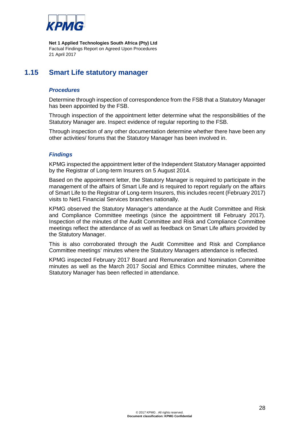

# **1.15 Smart Life statutory manager**

## *Procedures*

Determine through inspection of correspondence from the FSB that a Statutory Manager has been appointed by the FSB.

Through inspection of the appointment letter determine what the responsibilities of the Statutory Manager are. Inspect evidence of regular reporting to the FSB.

Through inspection of any other documentation determine whether there have been any other activities/ forums that the Statutory Manager has been involved in.

## *Findings*

KPMG inspected the appointment letter of the Independent Statutory Manager appointed by the Registrar of Long-term Insurers on 5 August 2014.

Based on the appointment letter, the Statutory Manager is required to participate in the management of the affairs of Smart Life and is required to report regularly on the affairs of Smart Life to the Registrar of Long-term Insurers, this includes recent (February 2017) visits to Net1 Financial Services branches nationally.

KPMG observed the Statutory Manager's attendance at the Audit Committee and Risk and Compliance Committee meetings (since the appointment till February 2017). Inspection of the minutes of the Audit Committee and Risk and Compliance Committee meetings reflect the attendance of as well as feedback on Smart Life affairs provided by the Statutory Manager.

This is also corroborated through the Audit Committee and Risk and Compliance Committee meetings' minutes where the Statutory Managers attendance is reflected.

KPMG inspected February 2017 Board and Remuneration and Nomination Committee minutes as well as the March 2017 Social and Ethics Committee minutes, where the Statutory Manager has been reflected in attendance.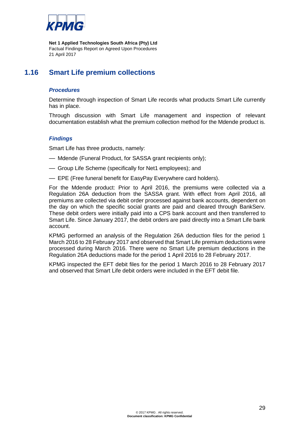

# **1.16 Smart Life premium collections**

## *Procedures*

Determine through inspection of Smart Life records what products Smart Life currently has in place.

Through discussion with Smart Life management and inspection of relevant documentation establish what the premium collection method for the Mdende product is.

## *Findings*

Smart Life has three products, namely:

- Mdende (Funeral Product, for SASSA grant recipients only);
- Group Life Scheme (specifically for Net1 employees); and
- EPE (Free funeral benefit for EasyPay Everywhere card holders).

For the Mdende product: Prior to April 2016, the premiums were collected via a Regulation 26A deduction from the SASSA grant. With effect from April 2016, all premiums are collected via debit order processed against bank accounts, dependent on the day on which the specific social grants are paid and cleared through BankServ. These debit orders were initially paid into a CPS bank account and then transferred to Smart Life. Since January 2017, the debit orders are paid directly into a Smart Life bank account.

KPMG performed an analysis of the Regulation 26A deduction files for the period 1 March 2016 to 28 February 2017 and observed that Smart Life premium deductions were processed during March 2016. There were no Smart Life premium deductions in the Regulation 26A deductions made for the period 1 April 2016 to 28 February 2017.

KPMG inspected the EFT debit files for the period 1 March 2016 to 28 February 2017 and observed that Smart Life debit orders were included in the EFT debit file.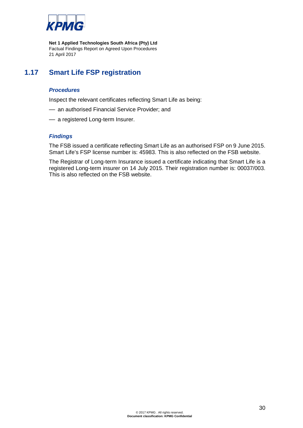

# **1.17 Smart Life FSP registration**

## *Procedures*

Inspect the relevant certificates reflecting Smart Life as being:

- an authorised Financial Service Provider; and
- a registered Long-term Insurer.

## *Findings*

The FSB issued a certificate reflecting Smart Life as an authorised FSP on 9 June 2015. Smart Life's FSP license number is: 45983. This is also reflected on the FSB website.

The Registrar of Long-term Insurance issued a certificate indicating that Smart Life is a registered Long-term insurer on 14 July 2015. Their registration number is: 00037/003. This is also reflected on the FSB website.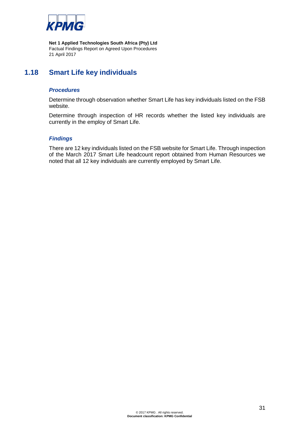

# **1.18 Smart Life key individuals**

## *Procedures*

Determine through observation whether Smart Life has key individuals listed on the FSB website.

Determine through inspection of HR records whether the listed key individuals are currently in the employ of Smart Life.

#### *Findings*

There are 12 key individuals listed on the FSB website for Smart Life. Through inspection of the March 2017 Smart Life headcount report obtained from Human Resources we noted that all 12 key individuals are currently employed by Smart Life.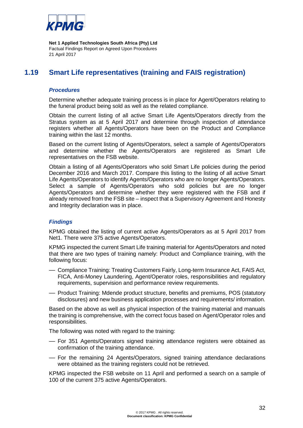

# **1.19 Smart Life representatives (training and FAIS registration)**

#### *Procedures*

Determine whether adequate training process is in place for Agent/Operators relating to the funeral product being sold as well as the related compliance.

Obtain the current listing of all active Smart Life Agents/Operators directly from the Stratus system as at 5 April 2017 and determine through inspection of attendance registers whether all Agents/Operators have been on the Product and Compliance training within the last 12 months.

Based on the current listing of Agents/Operators, select a sample of Agents/Operators and determine whether the Agents/Operators are registered as Smart Life representatives on the FSB website.

Obtain a listing of all Agents/Operators who sold Smart Life policies during the period December 2016 and March 2017. Compare this listing to the listing of all active Smart Life Agents/Operators to identify Agents/Operators who are no longer Agents/Operators. Select a sample of Agents/Operators who sold policies but are no longer Agents/Operators and determine whether they were registered with the FSB and if already removed from the FSB site – inspect that a Supervisory Agreement and Honesty and Integrity declaration was in place.

## *Findings*

KPMG obtained the listing of current active Agents/Operators as at 5 April 2017 from Net1. There were 375 active Agents/Operators.

KPMG inspected the current Smart Life training material for Agents/Operators and noted that there are two types of training namely: Product and Compliance training, with the following focus:

- Compliance Training: Treating Customers Fairly, Long-term Insurance Act, FAIS Act, FICA, Anti-Money Laundering, Agent/Operator roles, responsibilities and regulatory requirements, supervision and performance review requirements.
- Product Training: Mdende product structure, benefits and premiums, POS (statutory disclosures) and new business application processes and requirements/ information.

Based on the above as well as physical inspection of the training material and manuals the training is comprehensive, with the correct focus based on Agent/Operator roles and responsibilities.

The following was noted with regard to the training:

- For 351 Agents/Operators signed training attendance registers were obtained as confirmation of the training attendance.
- For the remaining 24 Agents/Operators, signed training attendance declarations were obtained as the training registers could not be retrieved.

KPMG inspected the FSB website on 11 April and performed a search on a sample of 100 of the current 375 active Agents/Operators.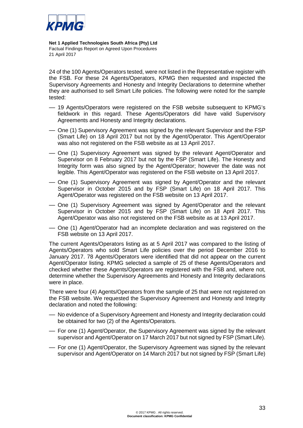

24 of the 100 Agents/Operators tested, were not listed in the Representative register with the FSB. For these 24 Agents/Operators, KPMG then requested and inspected the Supervisory Agreements and Honesty and Integrity Declarations to determine whether they are authorised to sell Smart Life policies. The following were noted for the sample tested:

- 19 Agents/Operators were registered on the FSB website subsequent to KPMG's fieldwork in this regard. These Agents/Operators did have valid Supervisory Agreements and Honesty and Integrity declarations.
- One (1) Supervisory Agreement was signed by the relevant Supervisor and the FSP (Smart Life) on 18 April 2017 but not by the Agent/Operator. This Agent/Operator was also not registered on the FSB website as at 13 April 2017.
- One (1) Supervisory Agreement was signed by the relevant Agent/Operator and Supervisor on 8 February 2017 but not by the FSP (Smart Life). The Honesty and Integrity form was also signed by the Agent/Operator; however the date was not legible. This Agent/Operator was registered on the FSB website on 13 April 2017.
- One (1) Supervisory Agreement was signed by Agent/Operator and the relevant Supervisor in October 2015 and by FSP (Smart Life) on 18 April 2017. This Agent/Operator was registered on the FSB website on 13 April 2017.
- One (1) Supervisory Agreement was signed by Agent/Operator and the relevant Supervisor in October 2015 and by FSP (Smart Life) on 18 April 2017. This Agent/Operator was also not registered on the FSB website as at 13 April 2017.
- One (1) Agent/Operator had an incomplete declaration and was registered on the FSB website on 13 April 2017.

The current Agents/Operators listing as at 5 April 2017 was compared to the listing of Agents/Operators who sold Smart Life policies over the period December 2016 to January 2017. 78 Agents/Operators were identified that did not appear on the current Agent/Operator listing. KPMG selected a sample of 25 of these Agents/Operators and checked whether these Agents/Operators are registered with the FSB and, where not, determine whether the Supervisory Agreements and Honesty and Integrity declarations were in place.

There were four (4) Agents/Operators from the sample of 25 that were not registered on the FSB website. We requested the Supervisory Agreement and Honesty and Integrity declaration and noted the following:

- No evidence of a Supervisory Agreement and Honesty and Integrity declaration could be obtained for two (2) of the Agents/Operators.
- For one (1) Agent/Operator, the Supervisory Agreement was signed by the relevant supervisor and Agent/Operator on 17 March 2017 but not signed by FSP (Smart Life).
- For one (1) Agent/Operator, the Supervisory Agreement was signed by the relevant supervisor and Agent/Operator on 14 March 2017 but not signed by FSP (Smart Life)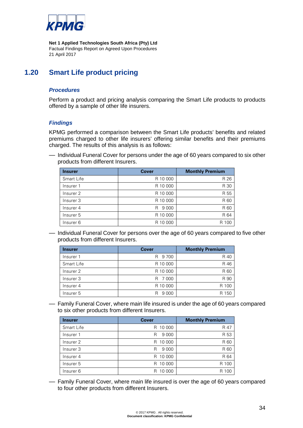

# **1.20 Smart Life product pricing**

## *Procedures*

Perform a product and pricing analysis comparing the Smart Life products to products offered by a sample of other life insurers.

#### *Findings*

KPMG performed a comparison between the Smart Life products' benefits and related premiums charged to other life insurers' offering similar benefits and their premiums charged. The results of this analysis is as follows:

— Individual Funeral Cover for persons under the age of 60 years compared to six other products from different Insurers.

| <b>Insurer</b> | <b>Cover</b> | <b>Monthly Premium</b> |
|----------------|--------------|------------------------|
| Smart Life     | R 10 000     | R 26                   |
| Insurer 1      | R 10 000     | R 30                   |
| Insurer 2      | R 10 000     | R 55                   |
| Insurer 3      | R 10 000     | R 60                   |
| Insurer 4      | 9 0 0 0<br>R | R 60                   |
| Insurer 5      | R 10 000     | R 64                   |
| Insurer 6      | R 10 000     | R 100                  |

— Individual Funeral Cover for persons over the age of 60 years compared to five other products from different Insurers.

| <b>Insurer</b>       | <b>Cover</b> | <b>Monthly Premium</b> |
|----------------------|--------------|------------------------|
| Insurer 1            | R 9700       | R 40                   |
| Smart Life           | R 10 000     | R 46                   |
| Insurer 2            | R 10 000     | R 60                   |
| Insurer <sub>3</sub> | R 7000       | R 90                   |
| Insurer 4            | R 10 000     | R 100                  |
| Insurer 5            | 9 0 0 0<br>R | R 150                  |

— Family Funeral Cover, where main life insured is under the age of 60 years compared to six other products from different Insurers.

| <b>Insurer</b>    | <b>Cover</b> | <b>Monthly Premium</b> |
|-------------------|--------------|------------------------|
| <b>Smart Life</b> | R 10 000     | R 47                   |
| Insurer 1         | 9 0 0 0<br>R | R 53                   |
| Insurer 2         | 10 000<br>R. | R 60                   |
| Insurer 3         | 9 0 0 0<br>R | R 60                   |
| Insurer 4         | 10 000<br>R. | R 64                   |
| Insurer 5         | 10 000<br>R  | R 100                  |
| Insurer 6         | 10 000<br>R  | R<br>10C               |

— Family Funeral Cover, where main life insured is over the age of 60 years compared to four other products from different Insurers.